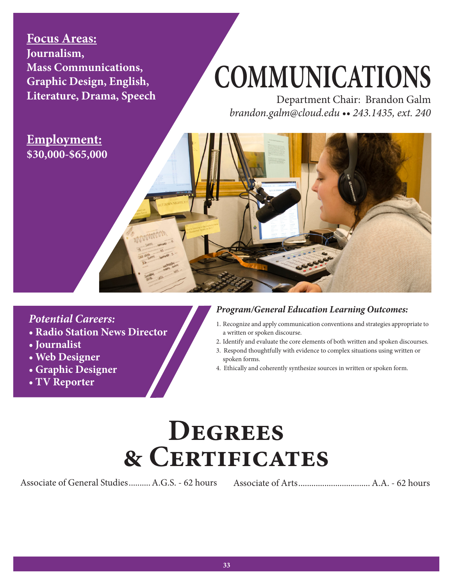**Focus Areas: Journalism, Mass Communications, Graphic Design, English, Literature, Drama, Speech**

# **COMMUNICATIONS**

Department Chair: Brandon Galm *brandon.galm@cloud.edu •• 243.1435, ext. 240*

**Employment: \$30,000-\$65,000**

### *Potential Careers:*

- **Radio Station News Director**
- **Journalist**
- **Web Designer**
- **Graphic Designer**
- **TV Reporter**

#### *Program/General Education Learning Outcomes:*

- 1. Recognize and apply communication conventions and strategies appropriate to a written or spoken discourse.
- 2. Identify and evaluate the core elements of both written and spoken discourses.
- 3. Respond thoughtfully with evidence to complex situations using written or spoken forms.
- 4. Ethically and coherently synthesize sources in written or spoken form.

## **Degrees & Certificates**

Associate of General Studies..........A.G.S. - 62 hours Associate of Arts.................................A.A. - 62 hours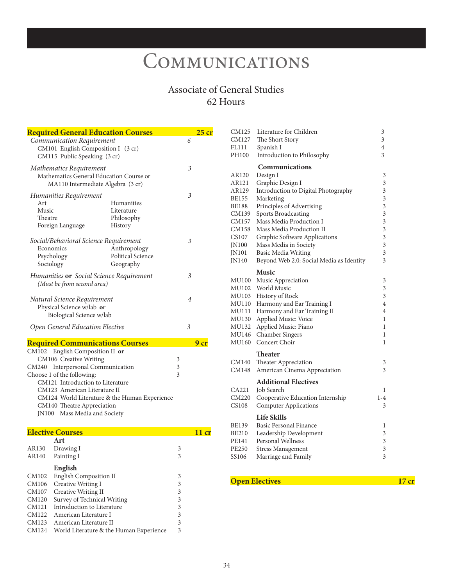### **COMMUNICATIONS**

#### Associate of General Studies 62 Hours

|                                                             | <b>Required General Education Courses</b>                                                                                                                                                             |                                                   |                                              | 25 cr           |
|-------------------------------------------------------------|-------------------------------------------------------------------------------------------------------------------------------------------------------------------------------------------------------|---------------------------------------------------|----------------------------------------------|-----------------|
|                                                             | Communication Requirement<br>CM101 English Composition I (3 cr)<br>CM115 Public Speaking (3 cr)                                                                                                       |                                                   | 6                                            |                 |
|                                                             | Mathematics Requirement<br>Mathematics General Education Course or<br>MA110 Intermediate Algebra (3 cr)                                                                                               |                                                   | 3                                            |                 |
| Art<br>Music<br>Theatre                                     | Humanities Requirement<br>Foreign Language                                                                                                                                                            | Humanities<br>Literature<br>Philosophy<br>History | 3                                            |                 |
| Sociology                                                   | Social/Behavioral Science Requirement<br>Economics<br>Psychology                                                                                                                                      | Anthropology<br>Political Science<br>Geography    | 3                                            |                 |
|                                                             | Humanities <b>or</b> Social Science Requirement<br>(Must be from second area)                                                                                                                         |                                                   | 3                                            |                 |
|                                                             | Natural Science Requirement<br>Physical Science w/lab or<br>Biological Science w/lab                                                                                                                  |                                                   | $\overline{4}$                               |                 |
|                                                             | Open General Education Elective                                                                                                                                                                       |                                                   | 3                                            |                 |
|                                                             | <b>Required Communications Courses</b>                                                                                                                                                                |                                                   |                                              | 9 <sub>cr</sub> |
| CM240                                                       | CM102 English Composition II or<br>CM106 Creative Writing<br><b>Interpersonal Communication</b><br>Choose 1 of the following:<br>CM121 Introduction to Literature<br>CM123 American Literature II     |                                                   | 3<br>3<br>3                                  |                 |
|                                                             | CM140 Theatre Appreciation<br>JN100 Mass Media and Society                                                                                                                                            | CM124 World Literature & the Human Experience     |                                              |                 |
|                                                             | <b>Elective Courses</b>                                                                                                                                                                               |                                                   |                                              | $11$ cr         |
| AR130<br>AR140                                              | Art<br>Drawing I<br>Painting I                                                                                                                                                                        |                                                   | 3<br>3                                       |                 |
| CM102<br>CM106<br>CM107<br>CM120<br>CM121<br>CM122<br>CM123 | English<br><b>English Composition II</b><br>Creative Writing I<br>Creative Writing II<br>Survey of Technical Writing<br>Introduction to Literature<br>American Literature I<br>American Literature II |                                                   | 3<br>3<br>3<br>3<br>$\mathfrak{Z}$<br>3<br>3 |                 |
| CM124                                                       | World Literature & the Human Experience                                                                                                                                                               |                                                   | 3                                            |                 |

| CM125        | Literature for Children                  | 3     |
|--------------|------------------------------------------|-------|
| CM127        | The Short Story                          | 3     |
| FL111        | Spanish I                                | 4     |
| PH100        | Introduction to Philosophy               | 3     |
|              | Communications                           |       |
| AR120        | Design I                                 | 3     |
| AR121        | Graphic Design I                         | 3     |
| AR129        | Introduction to Digital Photography      | 3     |
| BE155        | Marketing                                | 3     |
| <b>BE188</b> | Principles of Advertising                | 3     |
| CM139        | <b>Sports Broadcasting</b>               | 3     |
| CM157        | Mass Media Production I                  | 3     |
| CM158        | Mass Media Production II                 | 3     |
| CS107        | Graphic Software Applications            | 3     |
| JN100        | Mass Media in Society                    | 3     |
| <b>IN101</b> | <b>Basic Media Writing</b>               | 3     |
| <b>IN140</b> | Beyond Web 2.0: Social Media as Identity | 3     |
|              | <b>Music</b>                             |       |
| MU100        | Music Appreciation                       | 3     |
| MU102        | <b>World Music</b>                       | 3     |
| MU103        | History of Rock                          | 3     |
| MU110        | Harmony and Ear Training I               | 4     |
| MU111        | Harmony and Ear Training II              | 4     |
| MU130        | Applied Music: Voice                     | 1     |
| MU132        | Applied Music: Piano                     | 1     |
| MU146        | <b>Chamber Singers</b>                   | 1     |
| MU160        | Concert Choir                            | 1     |
|              | <b>Theater</b>                           |       |
| CM140        | Theater Appreciation                     | 3     |
| CM148        | American Cinema Appreciation             | 3     |
|              | <b>Additional Electives</b>              |       |
| CA221        | Job Search                               | 1     |
| CM220        | Cooperative Education Internship         | $1-4$ |
| <b>CS108</b> | <b>Computer Applications</b>             | 3     |
|              | <b>Life Skills</b>                       |       |
| BE139        | <b>Basic Personal Finance</b>            | 1     |
| BE210        | Leadership Development                   | 3     |
| PE141        | Personal Wellness                        | 3     |
| PE250        | <b>Stress Management</b>                 | 3     |
| SS106        | Marriage and Family                      | 3     |
|              |                                          |       |

#### **Open Electives** 17 cr